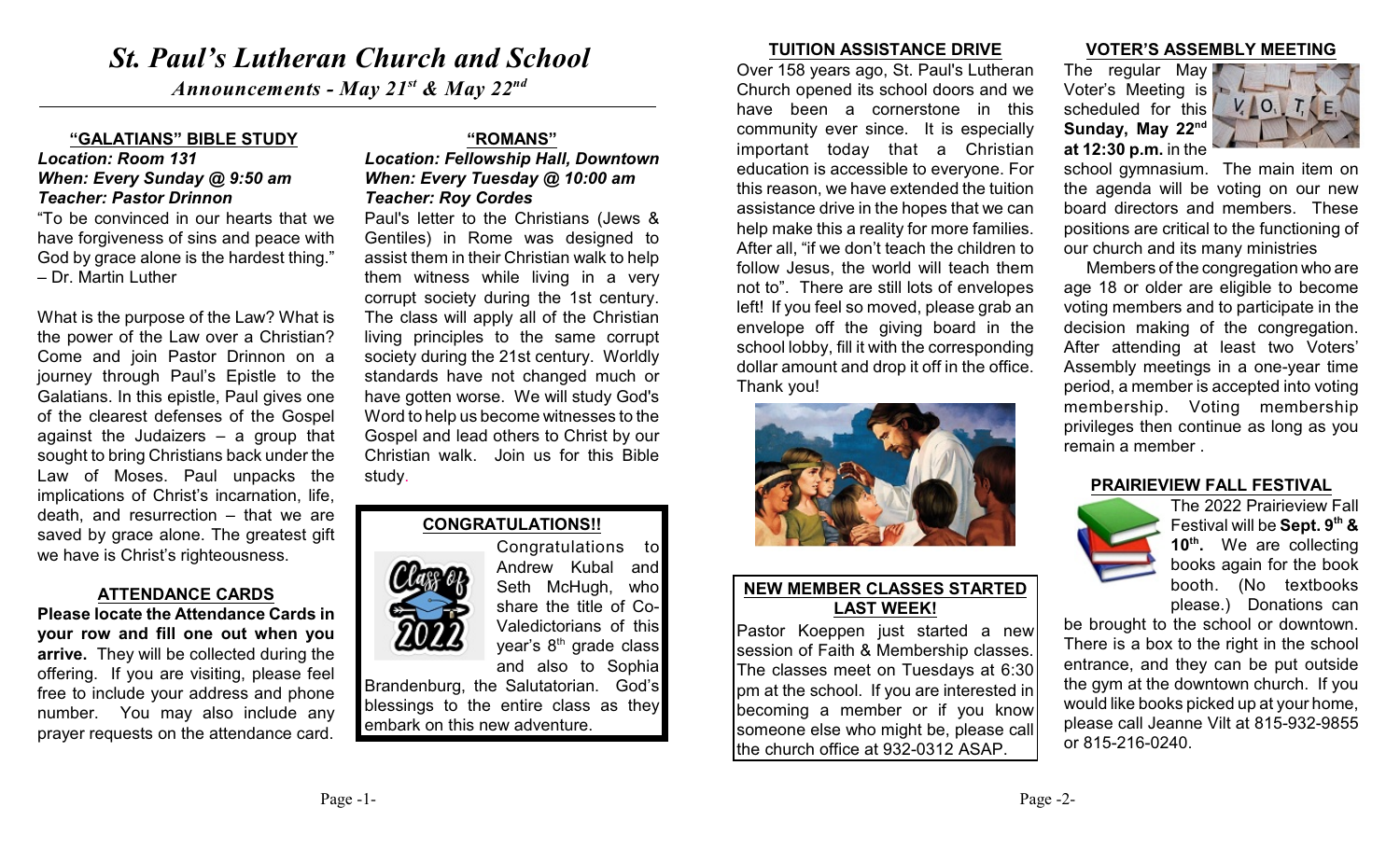# *St. Paul's Lutheran Church and School*

*Announcements - May 21<sup>st</sup> & May 22<sup>nd</sup>* 

#### **"GALATIANS" BIBLE STUDY**

## *Location: Room 131 When: Every Sunday @ 9:50 am Teacher: Pastor Drinnon*

"To be convinced in our hearts that we have forgiveness of sins and peace with God by grace alone is the hardest thing." – Dr. Martin Luther

What is the purpose of the Law? What is the power of the Law over a Christian? Come and join Pastor Drinnon on a journey through Paul's Epistle to the Galatians. In this epistle, Paul gives one of the clearest defenses of the Gospel against the Judaizers – a group that sought to bring Christians back under the Law of Moses. Paul unpacks the implications of Christ's incarnation, life, death, and resurrection – that we are saved by grace alone. The greatest gift we have is Christ's righteousness.

# **ATTENDANCE CARDS**

**Please locate the Attendance Cards in your row and fill one out when you arrive.** They will be collected during the offering. If you are visiting, please feel free to include your address and phone number. You may also include any prayer requests on the attendance card.

#### **"ROMANS"**

# *Location: Fellowship Hall, Downtown When: Every Tuesday @ 10:00 am Teacher: Roy Cordes*

Paul's letter to the Christians (Jews & Gentiles) in Rome was designed to assist them in their Christian walk to help them witness while living in a very corrupt society during the 1st century. The class will apply all of the Christian living principles to the same corrupt society during the 21st century. Worldly standards have not changed much or have gotten worse. We will study God's Word to help us become witnesses to the Gospel and lead others to Christ by our Christian walk. Join us for this Bible study.

#### **CONGRATULATIONS!!**



Seth McHugh, who share the title of Co-Valedictorians of this vear's  $8<sup>th</sup>$  grade class and also to Sophia

Brandenburg, the Salutatorian. God's blessings to the entire class as they embark on this new adventure.

#### **TUITION ASSISTANCE DRIVE**

Over 158 years ago, St. Paul's Lutheran Church opened its school doors and we have been a cornerstone in this community ever since. It is especially important today that a Christian education is accessible to everyone. For this reason, we have extended the tuition assistance drive in the hopes that we can help make this a reality for more families. After all, "if we don't teach the children to follow Jesus, the world will teach them not to". There are still lots of envelopes left! If you feel so moved, please grab an envelope off the giving board in the school lobby, fill it with the corresponding dollar amount and drop it off in the office. Thank you!



# **NEW MEMBER CLASSES STARTED LAST WEEK!**

Pastor Koeppen just started a new session of Faith & Membership classes. The classes meet on Tuesdays at 6:30 pm at the school. If you are interested in becoming a member or if you know someone else who might be, please call the church office at 932-0312 ASAP.

#### **VOTER'S ASSEMBLY MEETING**

The regular May Voter's Meeting is scheduled for this **Sunday, May 22nd at 12:30 p.m.** in the



school gymnasium. The main item on the agenda will be voting on our new board directors and members. These positions are critical to the functioning of our church and its many ministries

Members of the congregation who are age 18 or older are eligible to become voting members and to participate in the decision making of the congregation. After attending at least two Voters' Assembly meetings in a one-year time period, a member is accepted into voting membership. Voting membership privileges then continue as long as you remain a member .

#### **PRAIRIEVIEW FALL FESTIVAL**



The 2022 Prairieview Fall Festival will be Sept. 9<sup>th</sup> & **10<sup>th</sup>**. We are collecting books again for the book booth. (No textbooks please.) Donations can

be brought to the school or downtown. There is a box to the right in the school entrance, and they can be put outside the gym at the downtown church. If you would like books picked up at your home, please call Jeanne Vilt at 815-932-9855 or 815-216-0240.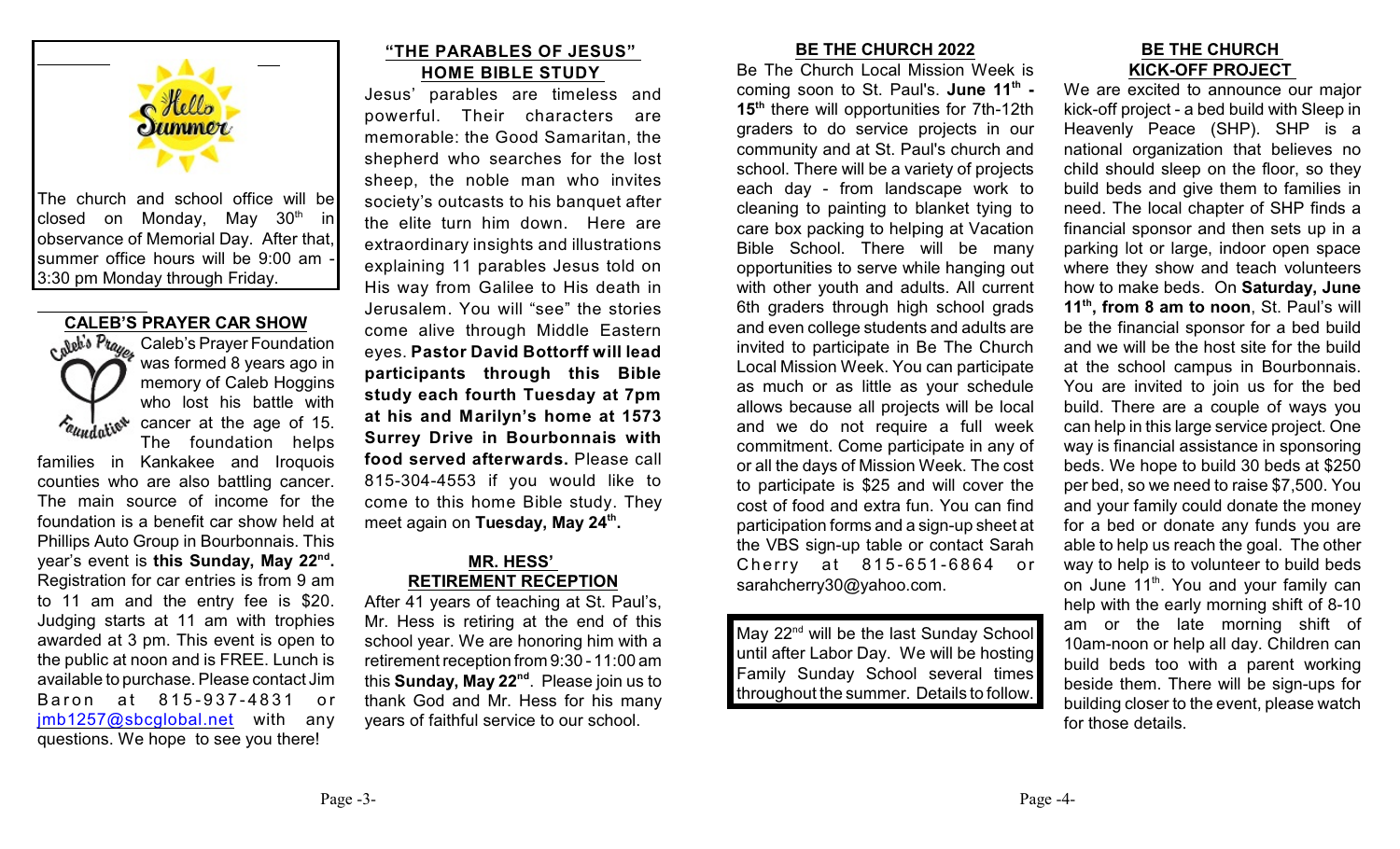

The church and school office will be closed on Monday, May  $30<sup>th</sup>$  in observance of Memorial Day. After that, summer office hours will be 9:00 am - 3:30 pm Monday through Friday.

# **CALEB'S PRAYER CAR SHOW**



<sub>Caleb</sub>'s Praye, Caleb's Prayer Foundation was formed 8 years ago in memory of Caleb Hoggins who lost his battle with  $\epsilon_{\alpha_{\mu\nu}}$  cancer at the age of 15. The foundation helps

families in Kankakee and Iroquois counties who are also battling cancer. The main source of income for the foundation is a benefit car show held at Phillips Auto Group in Bourbonnais. This year's event is **this Sunday, May 22**<sup>nd</sup>. Registration for car entries is from 9 am to 11 am and the entry fee is \$20. Judging starts at 11 am with trophies awarded at 3 pm. This event is open to the public at noon and is FREE. Lunch is available to purchase. Please contact Jim Baron at 815-937-4831 or [jmb1257@sbcglobal.net](mailto:jmb1257@sbcglobal.net) with any questions. We hope to see you there!

# **"THE PARABLES OF JESUS" HOME BIBLE STUDY**

Jesus' parables are timeless and powerful. Their characters are memorable: the Good Samaritan, the shepherd who searches for the lost sheep, the noble man who invites society's outcasts to his banquet after the elite turn him down. Here are extraordinary insights and illustrations explaining 11 parables Jesus told on His way from Galilee to His death in Jerusalem. You will "see" the stories come alive through Middle Eastern eyes. **Pastor David Bottorff will lead participants through this Bible study each fourth Tuesday at 7pm at his and Marilyn's home at 1573 Surrey Drive in Bourbonnais with food served afterwards.** Please call 815-304-4553 if you would like to come to this home Bible study. They meet again on Tuesday, May 24<sup>th</sup>.

# **MR. HESS' RETIREMENT RECEPTION**

After 41 years of teaching at St. Paul's, Mr. Hess is retiring at the end of this school year. We are honoring him with a retirement reception from 9:30 - 11:00 am this **Sunday, May 22<sup>nd</sup>**. Please join us to thank God and Mr. Hess for his many years of faithful service to our school.

#### **BE THE CHURCH 2022**

Be The Church Local Mission Week is coming soon to St. Paul's. **June 11<sup>th</sup> -**15<sup>th</sup> there will opportunities for 7th-12th graders to do service projects in our community and at St. Paul's church and school. There will be a variety of projects each day - from landscape work to cleaning to painting to blanket tying to care box packing to helping at Vacation Bible School. There will be many opportunities to serve while hanging out with other youth and adults. All current 6th graders through high school grads and even college students and adults are invited to participate in Be The Church Local Mission Week. You can participate as much or as little as your schedule allows because all projects will be local and we do not require a full week commitment. Come participate in any of or all the days of Mission Week. The cost to participate is \$25 and will cover the cost of food and extra fun. You can find participation forms and a sign-up sheet at the VBS sign-up table or contact Sarah Cherry at 815-651-6864 or sarahcherry30@yahoo.com.

 $\vert$  May 22<sup>nd</sup> will be the last Sunday School until after Labor Day. We will be hosting Family Sunday School several times throughout the summer. Details to follow.

## **BE THE CHURCH KICK-OFF PROJECT**

We are excited to announce our major kick-off project - a bed build with Sleep in Heavenly Peace (SHP). SHP is a national organization that believes no child should sleep on the floor, so they build beds and give them to families in need. The local chapter of SHP finds a financial sponsor and then sets up in a parking lot or large, indoor open space where they show and teach volunteers how to make beds. On **Saturday, June 11<sup>th</sup>, from 8 am to noon**, St. Paul's will be the financial sponsor for a bed build and we will be the host site for the build at the school campus in Bourbonnais. You are invited to join us for the bed build. There are a couple of ways you can help in this large service project. One way is financial assistance in sponsoring beds. We hope to build 30 beds at \$250 per bed, so we need to raise \$7,500. You and your family could donate the money for a bed or donate any funds you are able to help us reach the goal. The other way to help is to volunteer to build beds on June 11<sup>th</sup>. You and your family can help with the early morning shift of 8-10 am or the late morning shift of 10am-noon or help all day. Children can build beds too with a parent working beside them. There will be sign-ups for building closer to the event, please watch for those details.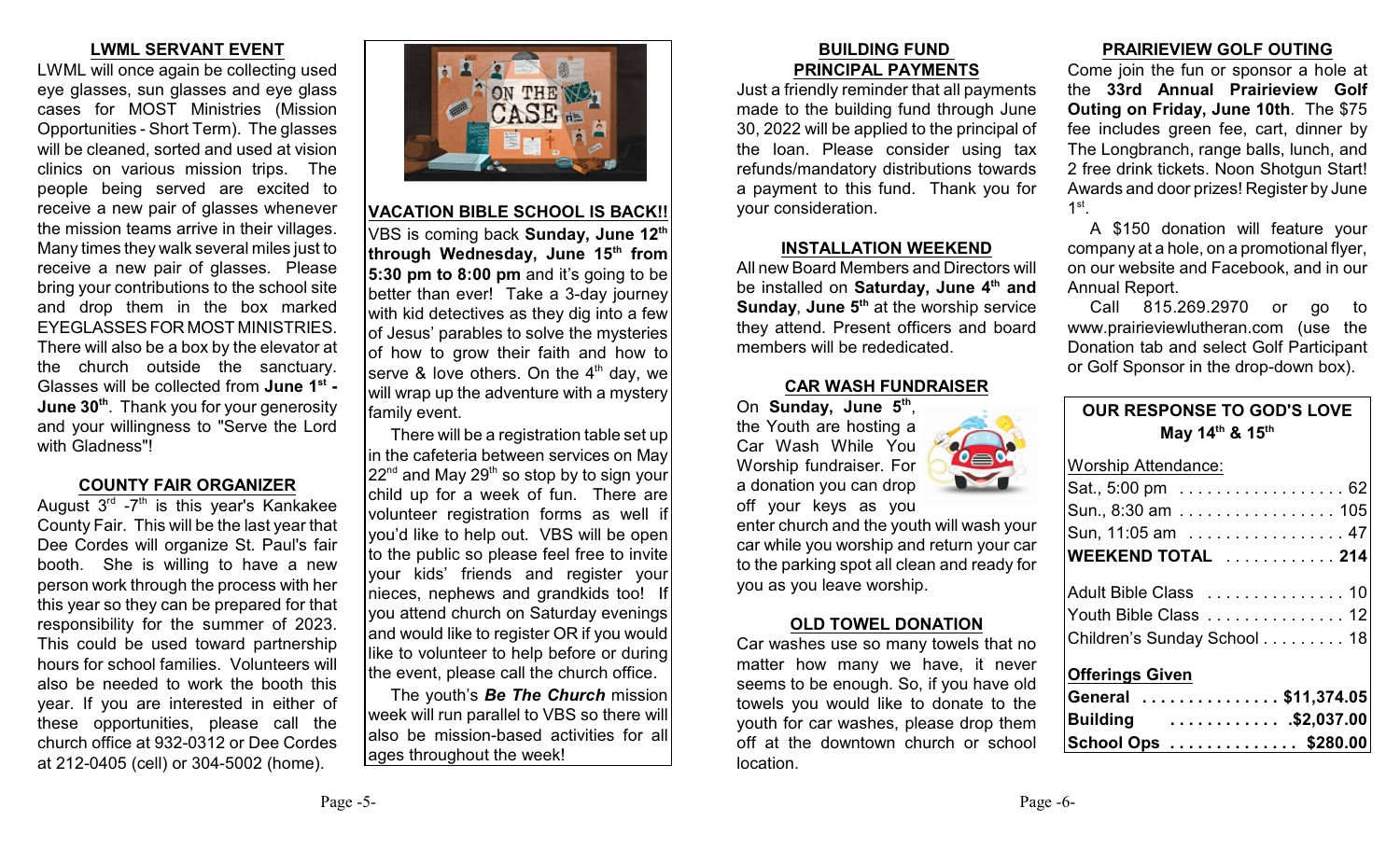# **LWML SERVANT EVENT**

LWML will once again be collecting used eye glasses, sun glasses and eye glass cases for MOST Ministries (Mission Opportunities - Short Term). The glasses will be cleaned, sorted and used at vision clinics on various mission trips. The people being served are excited to receive a new pair of glasses whenever the mission teams arrive in their villages. Many times they walk several miles just to receive a new pair of glasses. Please bring your contributions to the school site and drop them in the box marked EYEGLASSES FOR MOST MINISTRIES. There will also be a box by the elevator at the church outside the sanctuary. Glasses will be collected from June 1<sup>st</sup> -**June 30<sup>th</sup>**. Thank you for your generosity and your willingness to "Serve the Lord with Gladness"!

#### **COUNTY FAIR ORGANIZER**

August  $3<sup>rd</sup> -7<sup>th</sup>$  is this year's Kankakee County Fair. This will be the last year that Dee Cordes will organize St. Paul's fair booth. She is willing to have a new person work through the process with her this year so they can be prepared for that responsibility for the summer of 2023. This could be used toward partnership hours for school families. Volunteers will also be needed to work the booth this year. If you are interested in either of these opportunities, please call the church office at 932-0312 or Dee Cordes at 212-0405 (cell) or 304-5002 (home).



#### **VACATION BIBLE SCHOOL IS BACK!!**

VBS is coming back **Sunday, June 12th through Wednesday, June 15th from 5:30 pm to 8:00 pm** and it's going to be better than ever! Take a 3-day journey with kid detectives as they dig into a few of Jesus' parables to solve the mysteries of how to grow their faith and how to serve & love others. On the  $4<sup>th</sup>$  day, we will wrap up the adventure with a mystery family event.

There will be a registration table set up in the cafeteria between services on May  $22<sup>nd</sup>$  and May 29<sup>th</sup> so stop by to sign your child up for a week of fun. There are volunteer registration forms as well if you'd like to help out. VBS will be open to the public so please feel free to invite your kids' friends and register your nieces, nephews and grandkids too! If you attend church on Saturday evenings and would like to register OR if you would like to volunteer to help before or during the event, please call the church office.

The youth's *Be The Church* mission week will run parallel to VBS so there will lalso be mission-based activities for all ages throughout the week!

#### **BUILDING FUND PRINCIPAL PAYMENTS**

Just a friendly reminder that all payments made to the building fund through June 30, 2022 will be applied to the principal of the loan. Please consider using tax refunds/mandatory distributions towards a payment to this fund. Thank you for your consideration.

#### **INSTALLATION WEEKEND**

All new Board Members and Directors will be installed on **Saturday**, June 4<sup>th</sup> and **Sunday, June 5<sup>th</sup> at the worship service** they attend. Present officers and board members will be rededicated.

#### **CAR WASH FUNDRAISER**

On Sunday, June 5<sup>th</sup>, the Youth are hosting a Car Wash While You Worship fundraiser. For a donation you can drop off your keys as you

enter church and the youth will wash your car while you worship and return your car to the parking spot all clean and ready for you as you leave worship.

# **OLD TOWEL DONATION**

Car washes use so many towels that no matter how many we have, it never seems to be enough. So, if you have old towels you would like to donate to the youth for car washes, please drop them off at the downtown church or school location.

# **PRAIRIEVIEW GOLF OUTING**

Come join the fun or sponsor a hole at the **33rd Annual Prairieview Golf Outing on Friday, June 10th**. The \$75 fee includes green fee, cart, dinner by The Longbranch, range balls, lunch, and 2 free drink tickets. Noon Shotgun Start! Awards and door prizes! Register by June  $1<sup>st</sup>$ .

A \$150 donation will feature your company at a hole, on a promotional flyer, on our website and Facebook, and in our Annual Report.

Call 815.269.2970 or go to www.prairieviewlutheran.com (use the Donation tab and select Golf Participant or Golf Sponsor in the drop-down box).

| <b>OUR RESPONSE TO GOD'S LOVE</b><br>May 14th & 15th          |  |
|---------------------------------------------------------------|--|
| Worship Attendance:                                           |  |
|                                                               |  |
| Sun., 8:30 am 105                                             |  |
| Sun, 11:05 am 47                                              |  |
| WEEKEND TOTAL  214                                            |  |
| Adult Bible Class  10                                         |  |
| Youth Bible Class 12                                          |  |
| Children's Sunday School 18                                   |  |
| <b>Offerings Given</b>                                        |  |
| General \$11,374.05                                           |  |
| $\dots \dots \dots \dots \dots$ \$2,037.00<br><b>Building</b> |  |
| School Ops  \$280.00                                          |  |